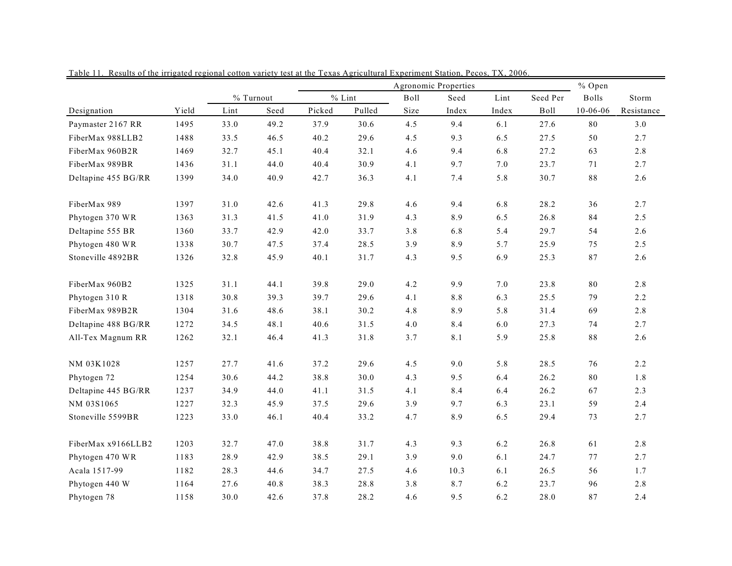|                     |       | Agronomic Properties |           |        |          |      |         |         |          |                | % Open     |  |
|---------------------|-------|----------------------|-----------|--------|----------|------|---------|---------|----------|----------------|------------|--|
|                     |       |                      | % Turnout |        | $%$ Lint | Boll | Seed    | Lint    | Seed Per | <b>Bolls</b>   | Storm      |  |
| Designation         | Yield | Lint                 | Seed      | Picked | Pulled   | Size | Index   | Index   | Boll     | $10 - 06 - 06$ | Resistance |  |
| Paymaster 2167 RR   | 1495  | 33.0                 | 49.2      | 37.9   | 30.6     | 4.5  | 9.4     | 6.1     | 27.6     | 80             | 3.0        |  |
| FiberMax 988LLB2    | 1488  | 33.5                 | 46.5      | 40.2   | 29.6     | 4.5  | 9.3     | 6.5     | 27.5     | 50             | 2.7        |  |
| FiberMax 960B2R     | 1469  | 32.7                 | 45.1      | 40.4   | 32.1     | 4.6  | 9.4     | 6.8     | 27.2     | 63             | 2.8        |  |
| FiberMax 989BR      | 1436  | 31.1                 | 44.0      | 40.4   | 30.9     | 4.1  | 9.7     | 7.0     | 23.7     | 71             | 2.7        |  |
| Deltapine 455 BG/RR | 1399  | 34.0                 | 40.9      | 42.7   | 36.3     | 4.1  | 7.4     | 5.8     | 30.7     | $8\,8$         | 2.6        |  |
| FiberMax 989        | 1397  | 31.0                 | 42.6      | 41.3   | 29.8     | 4.6  | 9.4     | 6.8     | 28.2     | 36             | 2.7        |  |
| Phytogen 370 WR     | 1363  | 31.3                 | 41.5      | 41.0   | 31.9     | 4.3  | 8.9     | 6.5     | 26.8     | 84             | 2.5        |  |
| Deltapine 555 BR    | 1360  | 33.7                 | 42.9      | 42.0   | 33.7     | 3.8  | 6.8     | 5.4     | 29.7     | 54             | 2.6        |  |
| Phytogen 480 WR     | 1338  | 30.7                 | 47.5      | 37.4   | 28.5     | 3.9  | 8.9     | 5.7     | 25.9     | 75             | 2.5        |  |
| Stoneville 4892BR   | 1326  | 32.8                 | 45.9      | 40.1   | 31.7     | 4.3  | 9.5     | 6.9     | 25.3     | 87             | 2.6        |  |
| FiberMax 960B2      | 1325  | 31.1                 | 44.1      | 39.8   | 29.0     | 4.2  | 9.9     | $7.0\,$ | 23.8     | $\bf 80$       | 2.8        |  |
| Phytogen 310 R      | 1318  | 30.8                 | 39.3      | 39.7   | 29.6     | 4.1  | $8.8\,$ | 6.3     | 25.5     | 79             | 2.2        |  |
| FiberMax 989B2R     | 1304  | 31.6                 | 48.6      | 38.1   | 30.2     | 4.8  | 8.9     | 5.8     | 31.4     | 69             | 2.8        |  |
| Deltapine 488 BG/RR | 1272  | 34.5                 | 48.1      | 40.6   | 31.5     | 4.0  | 8.4     | 6.0     | 27.3     | 74             | 2.7        |  |
| All-Tex Magnum RR   | 1262  | 32.1                 | 46.4      | 41.3   | 31.8     | 3.7  | 8.1     | 5.9     | 25.8     | $8\,8$         | 2.6        |  |
| NM 03K1028          | 1257  | 27.7                 | 41.6      | 37.2   | 29.6     | 4.5  | 9.0     | 5.8     | 28.5     | 76             | 2.2        |  |
| Phytogen 72         | 1254  | 30.6                 | 44.2      | 38.8   | 30.0     | 4.3  | 9.5     | 6.4     | 26.2     | $\bf 80$       | 1.8        |  |
| Deltapine 445 BG/RR | 1237  | 34.9                 | 44.0      | 41.1   | 31.5     | 4.1  | 8.4     | 6.4     | 26.2     | 67             | 2.3        |  |
| NM 03S1065          | 1227  | 32.3                 | 45.9      | 37.5   | 29.6     | 3.9  | 9.7     | 6.3     | 23.1     | 59             | 2.4        |  |
| Stoneville 5599BR   | 1223  | 33.0                 | 46.1      | 40.4   | 33.2     | 4.7  | 8.9     | 6.5     | 29.4     | 73             | 2.7        |  |
| FiberMax x9166LLB2  | 1203  | 32.7                 | 47.0      | 38.8   | 31.7     | 4.3  | 9.3     | 6.2     | 26.8     | 61             | 2.8        |  |
| Phytogen 470 WR     | 1183  | 28.9                 | 42.9      | 38.5   | 29.1     | 3.9  | 9.0     | 6.1     | 24.7     | 77             | 2.7        |  |
| Acala 1517-99       | 1182  | 28.3                 | 44.6      | 34.7   | 27.5     | 4.6  | 10.3    | 6.1     | 26.5     | 56             | 1.7        |  |
| Phytogen 440 W      | 1164  | 27.6                 | 40.8      | 38.3   | 28.8     | 3.8  | 8.7     | 6.2     | 23.7     | 96             | 2.8        |  |
| Phytogen 78         | 1158  | 30.0                 | 42.6      | 37.8   | 28.2     | 4.6  | 9.5     | 6.2     | 28.0     | 87             | 2.4        |  |

Table 11. Results of the irrigated regional cotton variety test at the Texas Agricultural Experiment Station, Pecos, TX, 2006.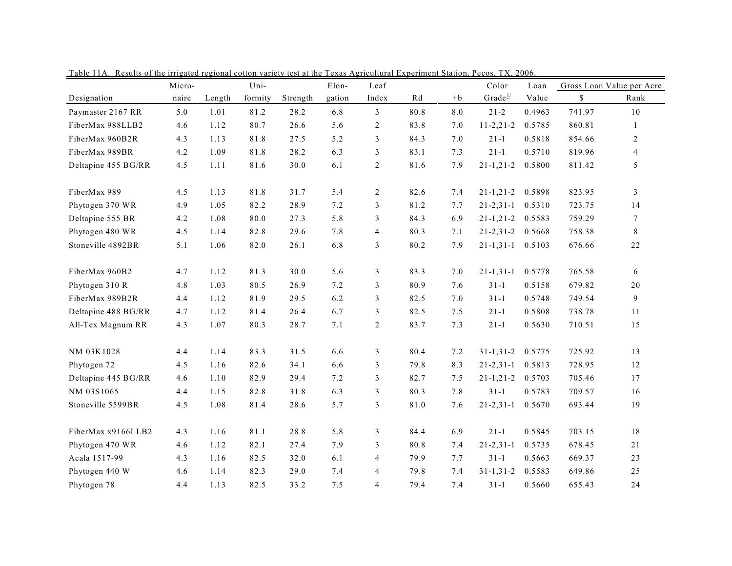|                     | Micro- |        | Uni-    |          | Elon-  | Leaf           |      |            | Color               | Loan   |        | Gross Loan Value per Acre |
|---------------------|--------|--------|---------|----------|--------|----------------|------|------------|---------------------|--------|--------|---------------------------|
| Designation         | naire  | Length | formity | Strength | gation | Index          | Rd   | $+{\bf b}$ | Grade $\frac{1}{2}$ | Value  | \$     | Rank                      |
| Paymaster 2167 RR   | 5.0    | 1.01   | 81.2    | 28.2     | 6.8    | 3              | 80.8 | $8.0\,$    | $21 - 2$            | 0.4963 | 741.97 | $1\,0$                    |
| FiberMax 988LLB2    | 4.6    | 1.12   | 80.7    | 26.6     | 5.6    | $\overline{c}$ | 83.8 | 7.0        | $11 - 2, 21 - 2$    | 0.5785 | 860.81 | $\mathbf{1}$              |
| FiberMax 960B2R     | 4.3    | 1.13   | 81.8    | 27.5     | 5.2    | 3              | 84.3 | 7.0        | $21 - 1$            | 0.5818 | 854.66 | 2                         |
| FiberMax 989BR      | 4.2    | 1.09   | 81.8    | 28.2     | 6.3    | 3              | 83.1 | 7.3        | $21 - 1$            | 0.5710 | 819.96 | $\overline{4}$            |
| Deltapine 455 BG/RR | 4.5    | 1.11   | 81.6    | 30.0     | 6.1    | $\overline{c}$ | 81.6 | 7.9        | $21 - 1, 21 - 2$    | 0.5800 | 811.42 | 5                         |
| FiberMax 989        | 4.5    | 1.13   | 81.8    | 31.7     | 5.4    | $\overline{c}$ | 82.6 | 7.4        | $21 - 1, 21 - 2$    | 0.5898 | 823.95 | $\mathfrak{Z}$            |
| Phytogen 370 WR     | 4.9    | 1.05   | 82.2    | 28.9     | 7.2    | 3              | 81.2 | 7.7        | $21 - 2, 31 - 1$    | 0.5310 | 723.75 | 14                        |
| Deltapine 555 BR    | 4.2    | 1.08   | 80.0    | 27.3     | 5.8    | 3              | 84.3 | 6.9        | $21 - 1, 21 - 2$    | 0.5583 | 759.29 | $\tau$                    |
| Phytogen 480 WR     | 4.5    | 1.14   | 82.8    | 29.6     | 7.8    | $\overline{4}$ | 80.3 | 7.1        | $21 - 2, 31 - 2$    | 0.5668 | 758.38 | $8\,$                     |
| Stoneville 4892BR   | 5.1    | 1.06   | 82.0    | 26.1     | 6.8    | 3              | 80.2 | 7.9        | $21 - 1, 31 - 1$    | 0.5103 | 676.66 | $2\sqrt{2}$               |
| FiberMax 960B2      | 4.7    | 1.12   | 81.3    | 30.0     | 5.6    | 3              | 83.3 | 7.0        | $21 - 1, 31 - 1$    | 0.5778 | 765.58 | 6                         |
| Phytogen 310 R      | 4.8    | 1.03   | 80.5    | 26.9     | 7.2    | 3              | 80.9 | 7.6        | $31-1$              | 0.5158 | 679.82 | 20                        |
| FiberMax 989B2R     | 4.4    | 1.12   | 81.9    | 29.5     | 6.2    | 3              | 82.5 | 7.0        | $31 - 1$            | 0.5748 | 749.54 | $\overline{9}$            |
| Deltapine 488 BG/RR | 4.7    | 1.12   | 81.4    | 26.4     | 6.7    | 3              | 82.5 | 7.5        | $21 - 1$            | 0.5808 | 738.78 | 11                        |
| All-Tex Magnum RR   | 4.3    | 1.07   | 80.3    | 28.7     | 7.1    | $\overline{c}$ | 83.7 | 7.3        | $21-1$              | 0.5630 | 710.51 | 15                        |
| NM 03K1028          | 4.4    | 1.14   | 83.3    | 31.5     | 6.6    | 3              | 80.4 | 7.2        | $31 - 1, 31 - 2$    | 0.5775 | 725.92 | 13                        |
| Phytogen 72         | 4.5    | 1.16   | 82.6    | 34.1     | 6.6    | 3              | 79.8 | 8.3        | $21 - 2, 31 - 1$    | 0.5813 | 728.95 | 12                        |
| Deltapine 445 BG/RR | 4.6    | 1.10   | 82.9    | 29.4     | 7.2    | 3              | 82.7 | 7.5        | $21 - 1, 21 - 2$    | 0.5703 | 705.46 | 17                        |
| NM 03S1065          | 4.4    | 1.15   | 82.8    | 31.8     | 6.3    | 3              | 80.3 | 7.8        | $31 - 1$            | 0.5783 | 709.57 | 16                        |
| Stoneville 5599BR   | 4.5    | 1.08   | 81.4    | 28.6     | 5.7    | 3              | 81.0 | 7.6        | $21 - 2, 31 - 1$    | 0.5670 | 693.44 | 19                        |
| FiberMax x9166LLB2  | 4.3    | 1.16   | 81.1    | 28.8     | 5.8    | 3              | 84.4 | 6.9        | $21 - 1$            | 0.5845 | 703.15 | $1\,8$                    |
| Phytogen 470 WR     | 4.6    | 1.12   | 82.1    | 27.4     | 7.9    | 3              | 80.8 | 7.4        | $21 - 2, 31 - 1$    | 0.5735 | 678.45 | 21                        |
| Acala 1517-99       | 4.3    | 1.16   | 82.5    | 32.0     | 6.1    | $\overline{4}$ | 79.9 | 7.7        | $31 - 1$            | 0.5663 | 669.37 | 23                        |
| Phytogen 440 W      | 4.6    | 1.14   | 82.3    | 29.0     | 7.4    | 4              | 79.8 | 7.4        | $31 - 1, 31 - 2$    | 0.5583 | 649.86 | 25                        |
| Phytogen 78         | 4.4    | 1.13   | 82.5    | 33.2     | 7.5    | $\overline{4}$ | 79.4 | 7.4        | $31-1$              | 0.5660 | 655.43 | 24                        |

Table 11A. Results of the irrigated regional cotton variety test at the Texas Agricultural Experiment Station, Pecos, TX, 2006.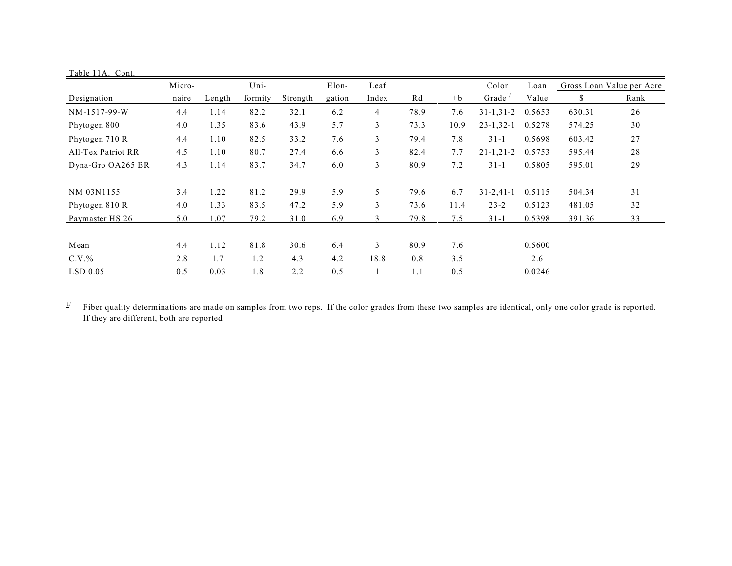| Table 11A. Cont.   |        |        |         |          |        |                |      |      |                     |        |                           |      |
|--------------------|--------|--------|---------|----------|--------|----------------|------|------|---------------------|--------|---------------------------|------|
|                    | Micro- |        | Uni-    |          | Elon-  | Leaf           |      |      | Color               | Loan   | Gross Loan Value per Acre |      |
| Designation        | naire  | Length | formity | Strength | gation | Index          | Rd   | $+b$ | Grade $\frac{1}{2}$ | Value  | \$                        | Rank |
| NM-1517-99-W       | 4.4    | 1.14   | 82.2    | 32.1     | 6.2    | $\overline{4}$ | 78.9 | 7.6  | $31 - 1, 31 - 2$    | 0.5653 | 630.31                    | 26   |
| Phytogen 800       | 4.0    | 1.35   | 83.6    | 43.9     | 5.7    | $\mathfrak{Z}$ | 73.3 | 10.9 | $23 - 1, 32 - 1$    | 0.5278 | 574.25                    | 30   |
| Phytogen 710 R     | 4.4    | 1.10   | 82.5    | 33.2     | 7.6    | 3              | 79.4 | 7.8  | $31-1$              | 0.5698 | 603.42                    | 27   |
| All-Tex Patriot RR | 4.5    | 1.10   | 80.7    | 27.4     | 6.6    | 3              | 82.4 | 7.7  | $21 - 1, 21 - 2$    | 0.5753 | 595.44                    | 28   |
| Dyna-Gro OA265 BR  | 4.3    | 1.14   | 83.7    | 34.7     | 6.0    | 3              | 80.9 | 7.2  | $31 - 1$            | 0.5805 | 595.01                    | 29   |
| NM 03N1155         | 3.4    | 1.22   | 81.2    | 29.9     | 5.9    | 5              | 79.6 | 6.7  | $31 - 2,41 - 1$     | 0.5115 | 504.34                    | 31   |
| Phytogen 810 R     | 4.0    | 1.33   | 83.5    | 47.2     | 5.9    | 3              | 73.6 | 11.4 | $23 - 2$            | 0.5123 | 481.05                    | 32   |
| Paymaster HS 26    | 5.0    | 1.07   | 79.2    | 31.0     | 6.9    | 3              | 79.8 | 7.5  | $31 - 1$            | 0.5398 | 391.36                    | 33   |
| Mean               | 4.4    | 1.12   | 81.8    | 30.6     | 6.4    | 3              | 80.9 | 7.6  |                     | 0.5600 |                           |      |
| $C.V.$ %           | 2.8    | 1.7    | 1.2     | 4.3      | 4.2    | 18.8           | 0.8  | 3.5  |                     | 2.6    |                           |      |
| $LSD$ 0.05         | 0.5    | 0.03   | 1.8     | 2.2      | 0.5    |                | 1.1  | 0.5  |                     | 0.0246 |                           |      |

 $\frac{1}{2}$  Fiber quality determinations are made on samples from two reps. If the color grades from these two samples are identical, only one color grade is reported. If they are different, both are reported.